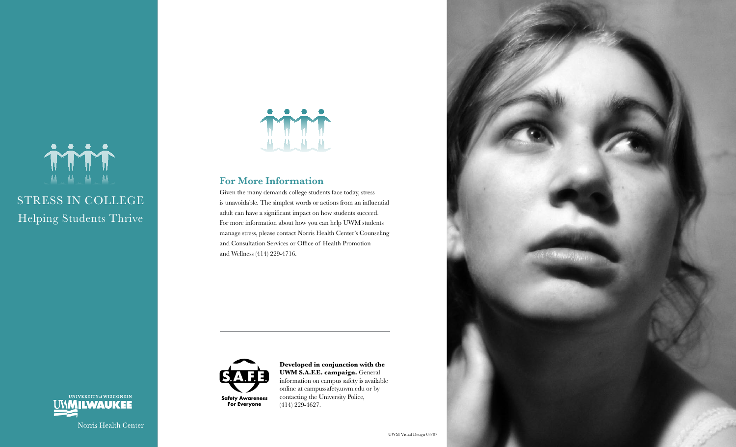

# STRESS IN COLLEGE Helping Students Thrive

UNIVERSITY of WISCONSIN **UMMILWAUKEE** 

Norris Health Center



### **For More Information**

Given the many demands college students face today, stress is unavoidable. The simplest words or actions from an influential adult can have a significant impact on how students succeed. For more information about how you can help UWM students manage stress, please contact Norris Health Center's Counseling and Consultation Services or Office of Health Promotion and Wellness (414) 229-4716.



**Developed in conjunction with the UWM S.A.F.E. campaign.** General information on campus safety is available online at campussafety.uwm.edu or by contacting the University Police, (414) 229-4627.